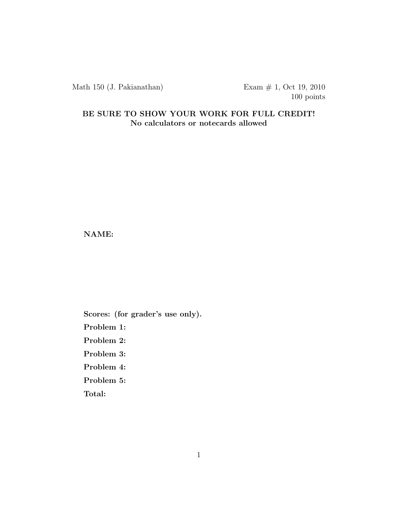Math 150 (J. Pakianathan) Exam # 1, Oct 19, 2010

100 points

## BE SURE TO SHOW YOUR WORK FOR FULL CREDIT! No calculators or notecards allowed

NAME:

Scores: (for grader's use only).

Problem 1:

Problem 2:

Problem 3:

Problem 4:

Problem 5:

Total: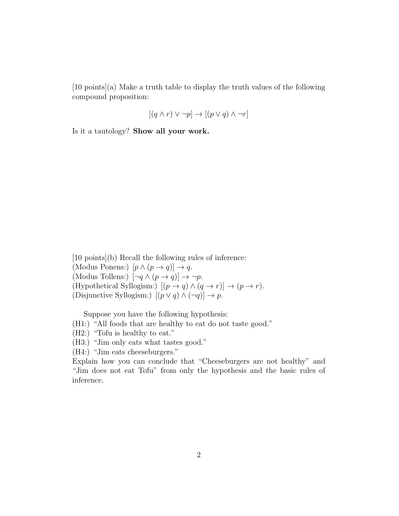[10 points](a) Make a truth table to display the truth values of the following compound proposition:

$$
[(q \wedge r) \vee \neg p] \rightarrow [(p \vee q) \wedge \neg r]
$$

Is it a tautology? Show all your work.

[10 points](b) Recall the following rules of inference: (Modus Ponens:)  $[p \wedge (p \rightarrow q)] \rightarrow q$ . (Modus Tollens:)  $[\neg q \land (p \rightarrow q)] \rightarrow \neg p$ . (Hypothetical Syllogism:)  $[(p \rightarrow q) \land (q \rightarrow r)] \rightarrow (p \rightarrow r)$ . (Disjunctive Syllogism:)  $[(p \lor q) \land (\neg q)] \to p$ .

Suppose you have the following hypothesis:

- (H1:) "All foods that are healthy to eat do not taste good."
- (H2:) "Tofu is healthy to eat."
- (H3:) "Jim only eats what tastes good."
- (H4:) "Jim eats cheeseburgers."

Explain how you can conclude that "Cheeseburgers are not healthy" and "Jim does not eat Tofu" from only the hypothesis and the basic rules of inference.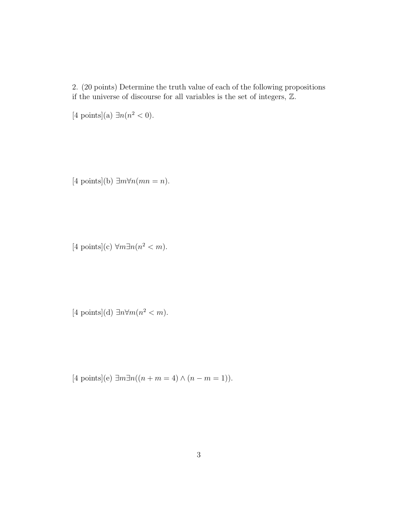2. (20 points) Determine the truth value of each of the following propositions if the universe of discourse for all variables is the set of integers, Z.

[4 points](a)  $\exists n (n^2 < 0)$ .

 $[4 \text{ points}](b) \exists m \forall n (mn = n).$ 

[4 points](c)  $\forall m \exists n (n^2 < m)$ .

 $[4 \text{ points}](d) \exists n \forall m (n^2 < m).$ 

[4 points](e) ∃m∃n((n + m = 4)  $\land$  (n - m = 1)).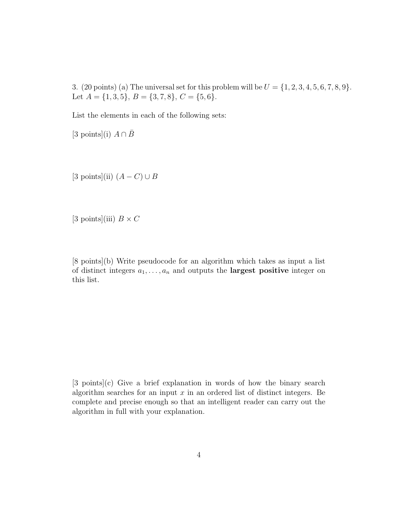3. (20 points) (a) The universal set for this problem will be  $U = \{1, 2, 3, 4, 5, 6, 7, 8, 9\}.$ Let  $A = \{1, 3, 5\}, B = \{3, 7, 8\}, C = \{5, 6\}.$ 

List the elements in each of the following sets:

[3 points](i)  $A \cap \overline{B}$ 

[3 points](ii)  $(A - C) \cup B$ 

[3 points](iii)  $B \times C$ 

[8 points](b) Write pseudocode for an algorithm which takes as input a list of distinct integers  $a_1, \ldots, a_n$  and outputs the **largest positive** integer on this list.

[3 points](c) Give a brief explanation in words of how the binary search algorithm searches for an input  $x$  in an ordered list of distinct integers. Be complete and precise enough so that an intelligent reader can carry out the algorithm in full with your explanation.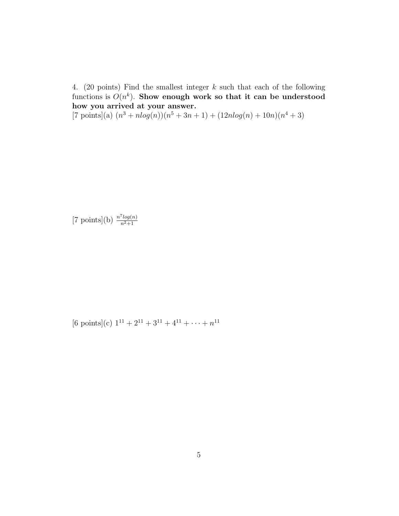4. (20 points) Find the smallest integer k such that each of the following functions is  $O(n^k)$ . Show enough work so that it can be understood how you arrived at your answer.

 $[7 \text{ points}](a)$   $(n^3 + n \log(n))(n^5 + 3n + 1) + (12n \log(n) + 10n)(n^4 + 3)$ 

[7 points](b) 
$$
\frac{n^7 \log(n)}{n^2 + 1}
$$

[6 points](c)  $1^{11} + 2^{11} + 3^{11} + 4^{11} + \cdots + n^{11}$